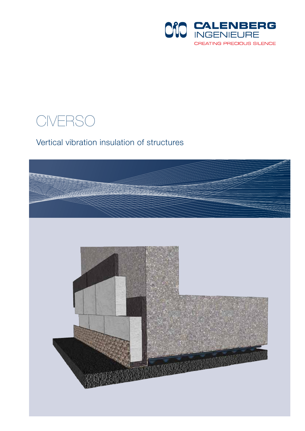

### CIVERSO

#### Vertical vibration insulation of structures

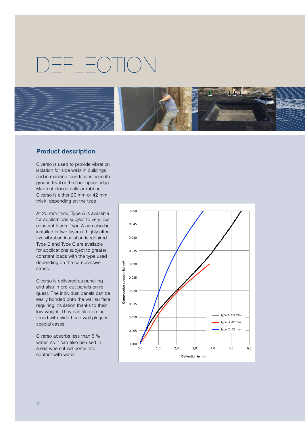## DEFLECTION



#### Product description

Civerso is used to provide vibration isolation for side walls in buildings and in machine foundations beneath ground level or the floor upper edge. Made of closed cellular rubber, Civerso is either 20 mm or 42 mm thick, depending on the type.

At 20 mm thick, Type A is available for applications subject to very low constant loads. Type A can also be installed in two layers if highly effective vibration insulation is required. Type B and Type C are available for applications subject to greater constant loads with the type used depending on the compressive stress.

Civerso is delivered as panelling and also in pre-cut panels on request. The individual panels can be easily bonded onto the wall surface requiring insulation thanks to their low weight. They can also be fastened with wide-head wall plugs in special cases.

Civerso absorbs less than 5 % water, so it can also be used in areas where it will come into contact with water.

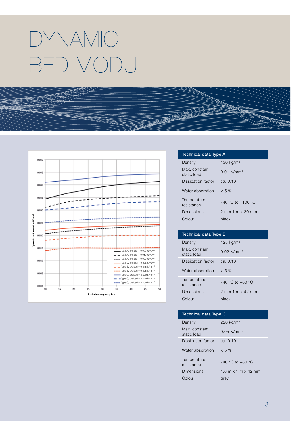# DYNAMIC BED MODULI



| Technical data Type A |       |
|-----------------------|-------|
| $Dana$ :              | 10014 |

| Density                      | 130 $kg/m3$                                           |
|------------------------------|-------------------------------------------------------|
| Max. constant<br>static load | $0.01$ N/mm <sup>2</sup>                              |
| Dissipation factor           | ca. 0.10                                              |
| Water absorption             | $< 5\%$                                               |
| Temperature<br>resistance    | $-40$ °C to $+100$ °C                                 |
| Dimensions                   | $2 \text{ m} \times 1 \text{ m} \times 20 \text{ mm}$ |
| Colour                       | black                                                 |

| <b>Technical data Type B</b> |                          |  |
|------------------------------|--------------------------|--|
| Density                      | 125 kg/m <sup>3</sup>    |  |
| Max. constant<br>static load | $0.02$ N/mm <sup>2</sup> |  |
| Dissipation factor           | ca. $0.10$               |  |
| Water absorption             | $< 5\%$                  |  |
| Temperature<br>resistance    | $-40$ °C to $+80$ °C     |  |
| Dimensions                   | $2$ m x 1 m x 42 mm      |  |
| Colour                       | black                    |  |

| <b>Technical data Type C</b>      |  |  |
|-----------------------------------|--|--|
| $220 \text{ kg/m}^3$              |  |  |
| $0.05$ N/mm <sup>2</sup>          |  |  |
| ca. $0.10$                        |  |  |
| $< 5\%$                           |  |  |
| $-40$ °C to $+80$ °C              |  |  |
| 1.6 m $\times$ 1 m $\times$ 42 mm |  |  |
| grey                              |  |  |
|                                   |  |  |